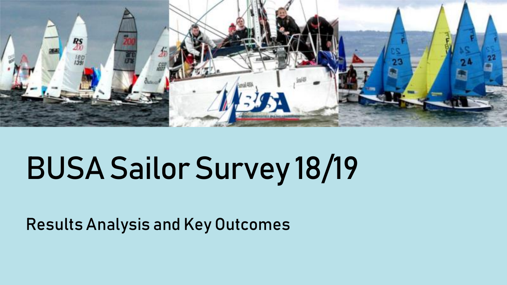

## BUSA Sailor Survey 18/19

Results Analysis and Key Outcomes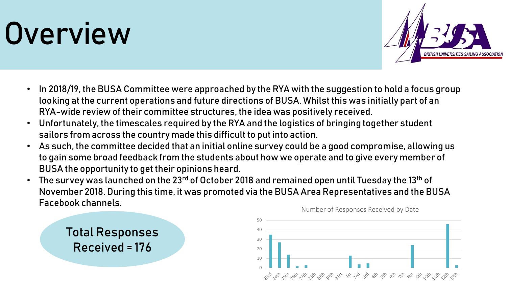## **Overview**



- In 2018/19, the BUSA Committee were approached by the RYA with the suggestion to hold a focus group looking at the current operations and future directions of BUSA. Whilst this was initially part of an RYA-wide review of their committee structures, the idea was positively received.
- Unfortunately, the timescales required by the RYA and the logistics of bringing together student sailors from across the country made this difficult to put into action.
- As such, the committee decided that an initial online survey could be a good compromise, allowing us to gain some broad feedback from the students about how we operate and to give every member of BUSA the opportunity to get their opinions heard.
- The survey was launched on the 23rd of October 2018 and remained open until Tuesday the 13<sup>th</sup> of November 2018. During this time, it was promoted via the BUSA Area Representatives and the BUSA Facebook channels.



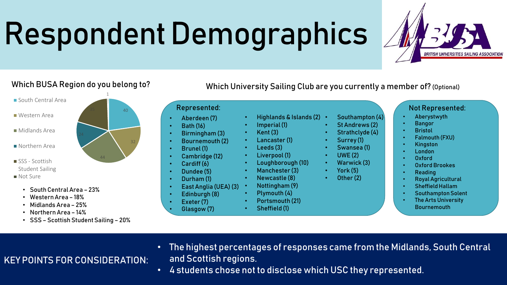# Respondent Demographics



- South Central Area
- Western Area
- Midlands Area
- Northern Area
- SSS Scottish Student Sailing
- Not Sure
	- South Central Area 23%
	- Western Area 18%
	- Midlands Area 25%
	- Northern Area 14%
	- SSS Scottish Student Sailing 20%

Which University Sailing Club are you currently a member of? (Optional)

#### Represented:

- Aberdeen (7)
- Bath (16)
- Birmingham (3)
- Bournemouth (2) • Brunel (1)
- Cambridge (12)
- Cardiff (6)
- Dundee (5)
- Durham (1)
- East Anglia (UEA) (3)
- Edinburgh (8)
- Exeter (7)
	- Glasgow (7)
- Highlands & Islands (2) • Imperial (1)
- Kent (3)
- Lancaster (1)
- Leeds (3)
- Liverpool (1)
- Loughborough (10)
- Manchester (3)
	- Newcastle (8)
- Nottingham (9) • Plymouth (4)
- Portsmouth (21)
- Sheffield (1)
- 
- Southampton (4) • St Andrews (2)
	- Strathclyde (4)
		- Surrey (1)
		- Swansea (1)
		- UWE (2)
		- Warwick (3)
		- York (5)
		- Other (2)

• Royal Agricultural • Sheffield Hallam

• Reading

• Southampton Solent

• Oxford Brookes

Not Represented: • Aberystwyth • Bangor **Bristol** 

• Falmouth (FXU)

• Kingston • London • Oxford

• The Arts University **Bournemouth** 

- KEY POINTS FOR CONSIDERATION: • The highest percentages of responses came from the Midlands, South Central and Scottish regions.
	- 4 students chose not to disclose which USC they represented.



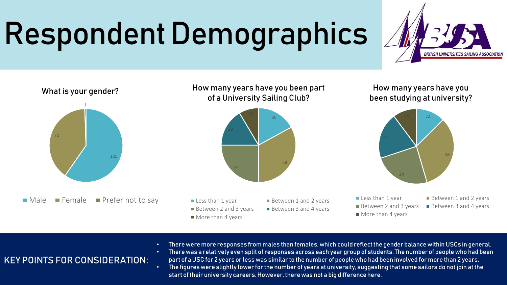# Respondent Demographics





- There were more responses from males than females, which could reflect the gender balance within USCs in general.
- There was a relatively even split of responses across each year group of students. The number of people who had been part of a USC for 2 years or less was similar to the number of people who had been involved for more than 2 years.
- The figures were slightly lower for the number of years at university, suggesting that some sailors do not join at the start of their university careers. However, there was not a big difference here.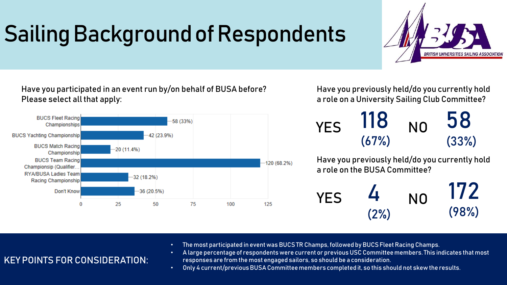### Sailing Background of Respondents



Have you participated in an event run by/on behalf of BUSA before? Please select all that apply:



Have you previously held/do you currently hold a role on a University Sailing Club Committee?

Have you previously held/do you currently hold a role on the BUSA Committee? 118 (67%) 58 (33%) YES 110 NO

YES 
$$
\frac{4}{(2\%)}
$$
 NO  $\frac{172}{(98\%)}$ 

- The most participated in event was BUCS TR Champs, followed by BUCS Fleet Racing Champs.
- A large percentage of respondents were current or previous USC Committee members. This indicates that most responses are from the most engaged sailors, so should be a consideration.
- Only 4 current/previous BUSA Committee members completed it, so this should not skew the results.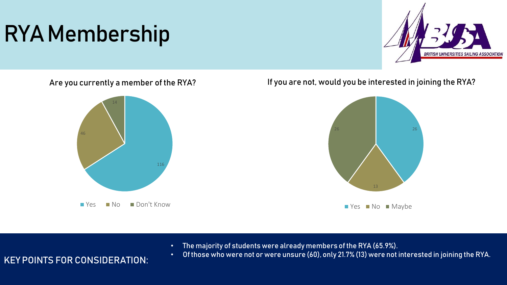### RYA Membership



Are you currently a member of the RYA?



If you are not, would you be interested in joining the RYA?



• The majority of students were already members of the RYA (65.9%).

#### KEY POINTS FOR CONSIDERATION:

• Of those who were not or were unsure (60), only 21.7% (13) were not interested in joining the RYA.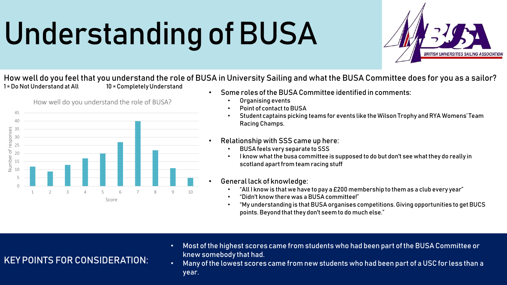# Understanding of BUSA



How well do you feel that you understand the role of BUSA in University Sailing and what the BUSA Committee does for you as a sailor? 1 = Do Not Understand at All 10 = Completely Understand



- Some roles of the BUSA Committee identified in comments:
	- Organising events
	- Point of contact to BUSA
	- Student captains picking teams for events like the Wilson Trophy and RYA Womens' Team Racing Champs.
- Relationship with SSS came up here:
	- BUSA feels very separate to SSS
	- I know what the busa committee is supposed to do but don't see what they do really in scotland apart from team racing stuff
- General lack of knowledge:
	- "All I know is that we have to pay a £200 membership to them as a club every year"
	- "Didn't know there was a BUSA committee!"
	- "My understanding is that BUSA organises competitions. Giving opportunities to get BUCS points. Beyond that they don't seem to do much else."

- KEY POINTS FOR CONSIDERATION:
- Most of the highest scores came from students who had been part of the BUSA Committee or knew somebody that had.
- Many of the lowest scores came from new students who had been part of a USC for less than a year.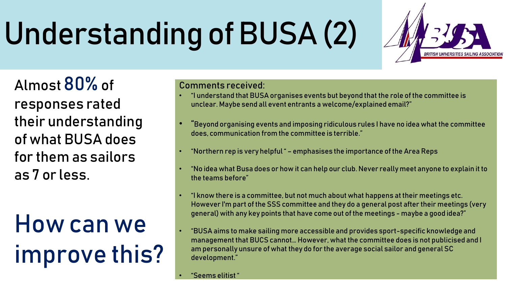# Understanding of BUSA (2)

Almost 80% of responses rated their understanding of what BUSA does for them as sailors as 7 or less.

## How can we improve this?

#### Comments received:

- "I understand that BUSA organises events but beyond that the role of the committee is unclear. Maybe send all event entrants a welcome/explained email?"
- "Beyond organising events and imposing ridiculous rules I have no idea what the committee does, communication from the committee is terrible."
- "Northern rep is very helpful " emphasises the importance of the Area Reps
- "No idea what Busa does or how it can help our club. Never really meet anyone to explain it to the teams before"
- "I know there is a committee, but not much about what happens at their meetings etc. However I'm part of the SSS committee and they do a general post after their meetings (very general) with any key points that have come out of the meetings - maybe a good idea?"
- "BUSA aims to make sailing more accessible and provides sport-specific knowledge and management that BUCS cannot… However, what the committee does is not publicised and I am personally unsure of what they do for the average social sailor and general SC development."
- "Seems elitist "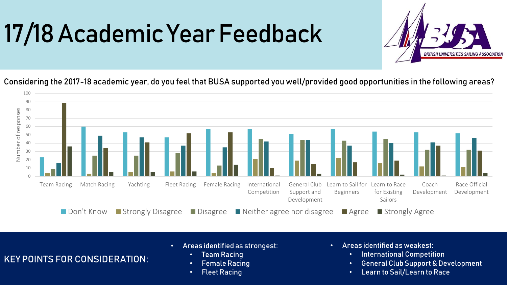## 17/18 Academic Year Feedback



Considering the 2017-18 academic year, do you feel that BUSA supported you well/provided good opportunities in the following areas?



- Areas identified as strongest:
	- Team Racing
	- Female Racing
	- Fleet Racing
- Areas identified as weakest:
	- International Competition
	- General Club Support & Development
	- Learn to Sail/Learn to Race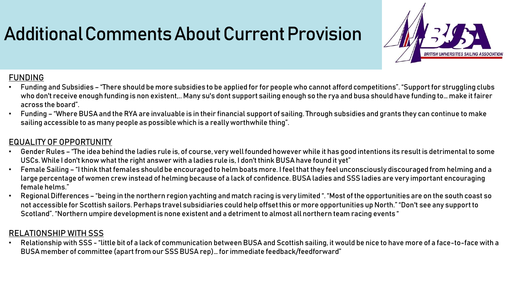### Additional Comments About Current Provision



#### FUNDING

- Funding and Subsidies "There should be more subsidies to be applied for for people who cannot afford competitions". "Support for struggling clubs who don't receive enough funding is non existent,.. Many su's dont support sailing enough so the rya and busa should have funding to… make it fairer across the board".
- Funding "Where BUSA and the RYA are invaluable is in their financial support of sailing. Through subsidies and grants they can continue to make sailing accessible to as many people as possible which is a really worthwhile thing".

#### EQUALITY OF OPPORTUNITY

- Gender Rules "The idea behind the ladies rule is, of course, very well founded however while it has good intentions its result is detrimental to some USCs. While I don't know what the right answer with a ladies rule is, I don't think BUSA have found it yet"
- Female Sailing "I think that females should be encouraged to helm boats more. I feel that they feel unconsciously discouraged from helming and a large percentage of women crew instead of helming because of a lack of confidence. BUSA ladies and SSS ladies are very important encouraging female helms."
- Regional Differences "being in the northern region yachting and match racing is very limited ". "Most of the opportunities are on the south coast so not accessible for Scottish sailors. Perhaps travel subsidiaries could help offset this or more opportunities up North." "Don't see any support to Scotland". "Northern umpire development is none existent and a detriment to almost all northern team racing events "

#### RELATIONSHIP WITH SSS

• Relationship with SSS - "little bit of a lack of communication between BUSA and Scottish sailing, it would be nice to have more of a face-to-face with a BUSA member of committee (apart from our SSS BUSA rep)… for immediate feedback/feedforward"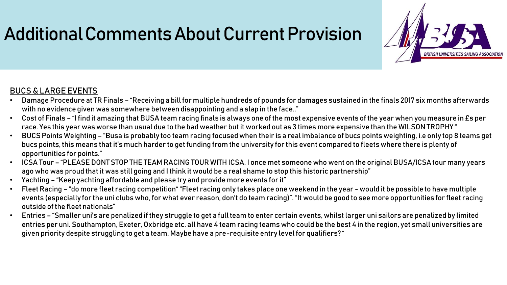### Additional Comments About Current Provision



#### BUCS & LARGE EVENTS

- Damage Procedure at TR Finals "Receiving a bill for multiple hundreds of pounds for damages sustained in the finals 2017 six months afterwards with no evidence given was somewhere between disappointing and a slap in the face.."
- Cost of Finals "I find it amazing that BUSA team racing finals is always one of the most expensive events of the year when you measure in £s per race. Yes this year was worse than usual due to the bad weather but it worked out as 3 times more expensive than the WILSON TROPHY "
- BUCS Points Weighting "Busa is probably too team racing focused when their is a real imbalance of bucs points weighting, i.e only top 8 teams get bucs points, this means that it's much harder to get funding from the university for this event compared to fleets where there is plenty of opportunities for points."
- ICSA Tour "PLEASE DONT STOP THE TEAM RACING TOUR WITH ICSA. I once met someone who went on the original BUSA/ICSA tour many years ago who was proud that it was still going and I think it would be a real shame to stop this historic partnership"
- Yachting "Keep yachting affordable and please try and provide more events for it"
- Fleet Racing "do more fleet racing competition" "Fleet racing only takes place one weekend in the year would it be possible to have multiple events (especially for the uni clubs who, for what ever reason, don't do team racing)". "It would be good to see more opportunities for fleet racing outside of the fleet nationals"
- Entries "Smaller uni's are penalized if they struggle to get a full team to enter certain events, whilst larger uni sailors are penalized by limited entries per uni. Southampton, Exeter, Oxbridge etc. all have 4 team racing teams who could be the best 4 in the region, yet small universities are given priority despite struggling to get a team. Maybe have a pre-requisite entry level for qualifiers? "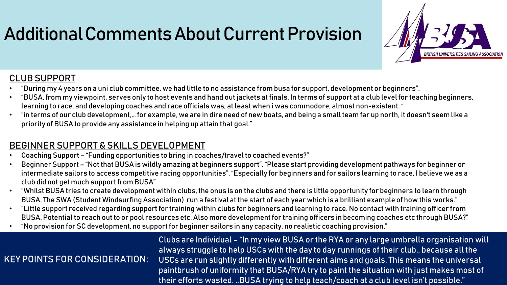### Additional Comments About Current Provision



#### CLUB SUPPORT

- "During my 4 years on a uni club committee, we had little to no assistance from busa for support, development or beginners".
- "BUSA, from my viewpoint, serves only to host events and hand out jackets at finals. In terms of support at a club level for teaching beginners, learning to race, and developing coaches and race officials was, at least when i was commodore, almost non-existent. "
- "in terms of our club development,… for example, we are in dire need of new boats, and being a small team far up north, it doesn't seem like a priority of BUSA to provide any assistance in helping up attain that goal."

#### BEGINNER SUPPORT & SKILLS DEVELOPMENT

- Coaching Support "Funding opportunities to bring in coaches/travel to coached events?"
- Beginner Support "Not that BUSA is wildly amazing at beginners support". "Please start providing development pathways for beginner or intermediate sailors to access competitive racing opportunities". "Especially for beginners and for sailors learning to race, I believe we as a club did not get much support from BUSA"
- "Whilst BUSA tries to create development within clubs, the onus is on the clubs and there is little opportunity for beginners to learn through BUSA. The SWA (Student Windsurfing Association) run a festival at the start of each year which is a brilliant example of how this works."
- "Little support received regarding support for training within clubs for beginners and learning to race. No contact with training officer from BUSA. Potential to reach out to or pool resources etc. Also more development for training officers in becoming coaches etc through BUSA?"
- "No provision for SC development, no support for beginner sailors in any capacity, no realistic coaching provision,"

#### KEY POINTS FOR CONSIDERATION:

Clubs are Individual – "In my view BUSA or the RYA or any large umbrella organisation will always struggle to help USCs with the day to day runnings of their club.. because all the USCs are run slightly differently with different aims and goals. This means the universal paintbrush of uniformity that BUSA/RYA try to paint the situation with just makes most of their efforts wasted. ..BUSA trying to help teach/coach at a club level isn't possible."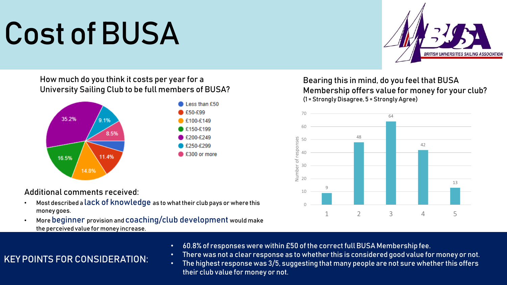# Cost of BUSA



How much do you think it costs per year for a University Sailing Club to be full members of BUSA?



#### Additional comments received:

- Most described a lack of knowledge as to what their club pays or where this money goes.
- More beginner provision and coaching/club development would make the perceived value for money increase.

Bearing this in mind, do you feel that BUSA Membership offers value for money for your club? (1 = Strongly Disagree, 5 = Strongly Agree)



- 60.8% of responses were within £50 of the correct full BUSA Membership fee.
- There was not a clear response as to whether this is considered good value for money or not.
- The highest response was 3/5, suggesting that many people are not sure whether this offers their club value for money or not.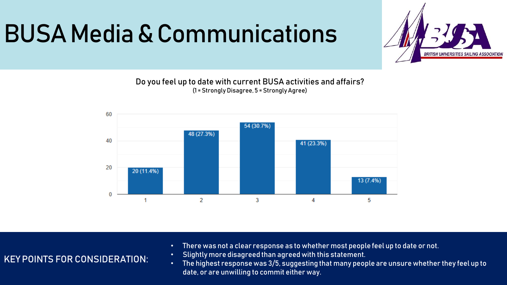### BUSA Media & Communications



Do you feel up to date with current BUSA activities and affairs? (1 = Strongly Disagree, 5 = Strongly Agree)



- There was not a clear response as to whether most people feel up to date or not.
- Slightly more disagreed than agreed with this statement.
- The highest response was 3/5, suggesting that many people are unsure whether they feel up to date, or are unwilling to commit either way.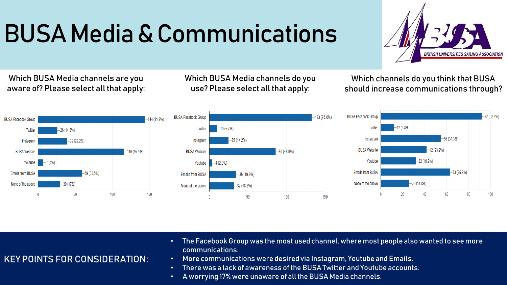## BUSA Media & Communications



Which BUSA Media channels are you aware of? Please select all that apply: Which BUSA Media channels do you use? Please select all that apply:

Which channels do you think that BUSA should increase communications through?







- The Facebook Group was the most used channel, where most people also wanted to see more communications.
- More communications were desired via Instagram, Youtube and Emails.
- There was a lack of awareness of the BUSA Twitter and Youtube accounts.
- A worrying 17% were unaware of all the BUSA Media channels.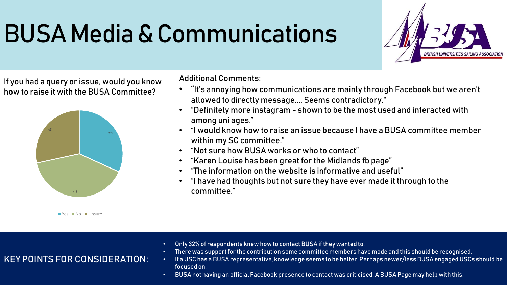## BUSA Media & Communications



If you had a query or issue, would you know how to raise it with the BUSA Committee?



 $Yes$  No Unsure

KEY POINTS FOR CONSIDERATION:

Additional Comments:

- "It's annoying how communications are mainly through Facebook but we aren't allowed to directly message.... Seems contradictory."
- "Definitely more instagram shown to be the most used and interacted with among uni ages."
- "I would know how to raise an issue because I have a BUSA committee member within my SC committee."
- "Not sure how BUSA works or who to contact"
- "Karen Louise has been great for the Midlands fb page"
- "The information on the website is informative and useful"
- "I have had thoughts but not sure they have ever made it through to the committee."

- Only 32% of respondents knew how to contact BUSA if they wanted to.
- There was support for the contribution some committee members have made and this should be recognised.
- If a USC has a BUSA representative, knowledge seems to be better. Perhaps newer/less BUSA engaged USCs should be focused on.
- BUSA not having an official Facebook presence to contact was criticised. A BUSA Page may help with this.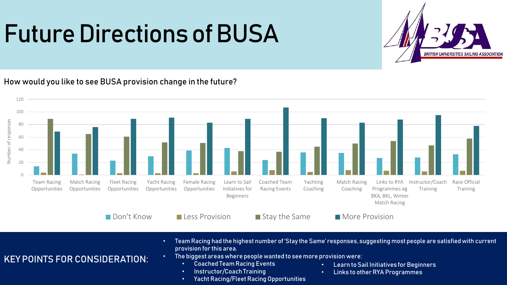### Future Directions of BUSA



How would you like to see BUSA provision change in the future?



- Team Racing had the highest number of 'Stay the Same' responses, suggesting most people are satisfied with current provision for this area.
	- The biggest areas where people wanted to see more provision were:
		- Coached Team Racing Events
		- Instructor/Coach Training
		- Yacht Racing/Fleet Racing Opportunities
- Learn to Sail Initiatives for Beginners
- Links to other RYA Programmes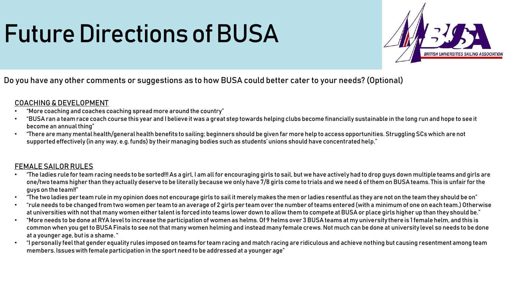## Future Directions of BUSA



#### Do you have any other comments or suggestions as to how BUSA could better cater to your needs? (Optional)

#### COACHING & DEVELOPMENT

- "More coaching and coaches coaching spread more around the country"
- "BUSA ran a team race coach course this year and I believe it was a great step towards helping clubs become financially sustainable in the long run and hope to see it become an annual thing"
- "There are many mental health/general health benefits to sailing; beginners should be given far more help to access opportunities. Struggling SCs which are not supported effectively (in any way, e.g. funds) by their managing bodies such as students' unions should have concentrated help."

#### FEMALE SAILOR RULES

- "The ladies rule for team racing needs to be sorted!!! As a girl, I am all for encouraging girls to sail, but we have actively had to drop guys down multiple teams and girls are one/two teams higher than they actually deserve to be literally because we only have 7/8 girls come to trials and we need 6 of them on BUSA teams. This is unfair for the guys on the team!!"
- "The two ladies per team rule in my opinion does not encourage girls to sail it merely makes the men or ladies resentful as they are not on the team they should be on"
- "rule needs to be changed from two women per team to an average of 2 girls per team over the number of teams entered (with a minimum of one on each team.) Otherwise at universities with not that many women either talent is forced into teams lower down to allow them to compete at BUSA or place girls higher up than they should be."
- "More needs to be done at RYA level to increase the participation of women as helms. Of 9 helms over 3 BUSA teams at my university there is 1 female helm, and this is common when you get to BUSA Finals to see not that many women helming and instead many female crews. Not much can be done at university level so needs to be done at a younger age, but is a shame. "
- "I personally feel that gender equality rules imposed on teams for team racing and match racing are ridiculous and achieve nothing but causing resentment among team members. Issues with female participation in the sport need to be addressed at a younger age"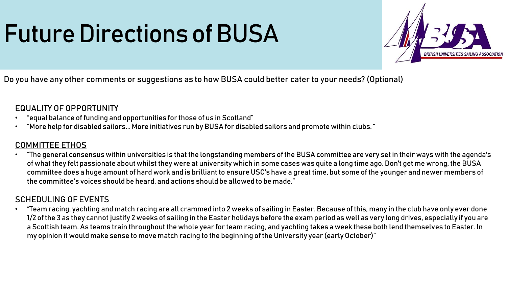## Future Directions of BUSA



Do you have any other comments or suggestions as to how BUSA could better cater to your needs? (Optional)

#### EQUALITY OF OPPORTUNITY

- "equal balance of funding and opportunities for those of us in Scotland"
- "More help for disabled sailors... More initiatives run by BUSA for disabled sailors and promote within clubs. "

#### COMMITTEE ETHOS

• "The general consensus within universities is that the longstanding members of the BUSA committee are very set in their ways with the agenda's of what they felt passionate about whilst they were at university which in some cases was quite a long time ago. Don't get me wrong, the BUSA committee does a huge amount of hard work and is brilliant to ensure USC's have a great time, but some of the younger and newer members of the committee's voices should be heard, and actions should be allowed to be made."

#### SCHEDULING OF EVENTS

even racing to the hoghining of the Statisfied people (carry solelast) • "Team racing, yachting and match racing are all crammed into 2 weeks of sailing in Easter. Because of this, many in the club have only ever done 1/2 of the 3 as they cannot justify 2 weeks of sailing in the Easter holidays before the exam period as well as very long drives, especially if you are a Scottish team. As teams train throughout the whole year for team racing, and yachting takes a week these both lend themselves to Easter. In my opinion it would make sense to move match racing to the beginning of the University year (early October)"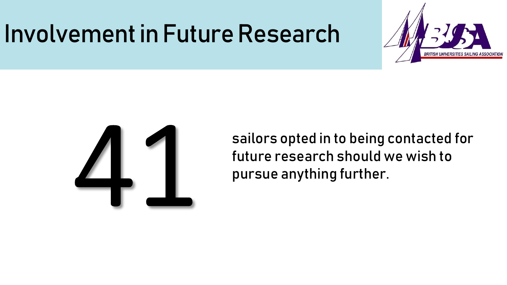### Involvement in Future Research





sailors opted in to being contacted for future research should we wish to pursue anything further.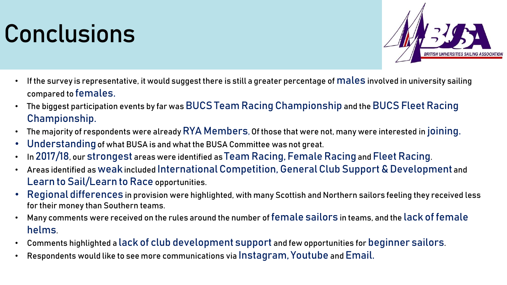### Conclusions



- If the survey is representative, it would suggest there is still a greater percentage of males involved in university sailing compared to females.
- The biggest participation events by far was BUCS Team Racing Championship and the BUCS Fleet Racing Championship.
- The majority of respondents were already RYA Members, Of those that were not, many were interested in joining.
- Understanding of what BUSA is and what the BUSA Committee was not great.
- In 2017/18, our strongest areas were identified as Team Racing, Female Racing and Fleet Racing.
- Areas identified as weakincluded International Competition, General Club Support & Development and Learn to Sail/Learn to Race opportunities.
- Regional differences in provision were highlighted, with many Scottish and Northern sailors feeling they received less for their money than Southern teams.
- Many comments were received on the rules around the number of female sailors in teams, and the lack of female helms.
- Comments highlighted a lack of club development support and few opportunities for beginner sailors.
- Respondents would like to see more communications via Instagram, Youtube and Email.